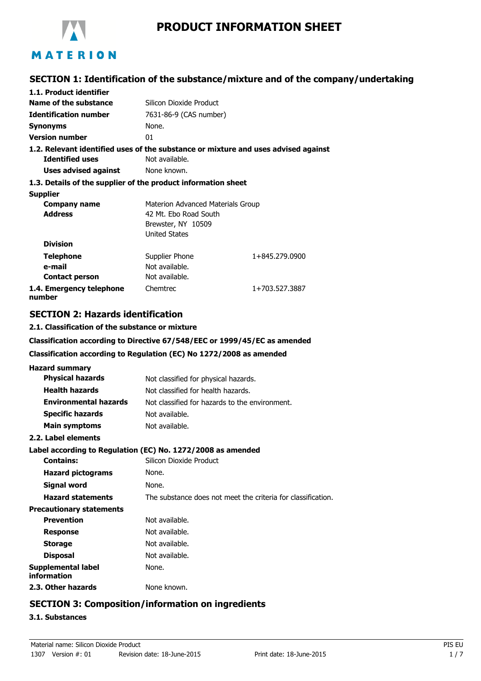

## **PRODUCT INFORMATION SHEET**

## **SECTION 1: Identification of the substance/mixture and of the company/undertaking**

| 1.1. Product identifier                                                            |                                   |                |
|------------------------------------------------------------------------------------|-----------------------------------|----------------|
| Name of the substance                                                              | Silicon Dioxide Product           |                |
| <b>Identification number</b>                                                       | 7631-86-9 (CAS number)            |                |
| <b>Synonyms</b>                                                                    | None.                             |                |
| <b>Version number</b>                                                              | 01                                |                |
| 1.2. Relevant identified uses of the substance or mixture and uses advised against |                                   |                |
| <b>Identified uses</b>                                                             | Not available.                    |                |
| Uses advised against                                                               | None known.                       |                |
| 1.3. Details of the supplier of the product information sheet                      |                                   |                |
| <b>Supplier</b>                                                                    |                                   |                |
| Company name                                                                       | Materion Advanced Materials Group |                |
| <b>Address</b>                                                                     | 42 Mt. Ebo Road South             |                |
|                                                                                    | Brewster, NY 10509                |                |
|                                                                                    | <b>United States</b>              |                |
| <b>Division</b>                                                                    |                                   |                |
| <b>Telephone</b>                                                                   | Supplier Phone                    | 1+845.279.0900 |
| e-mail                                                                             | Not available.                    |                |
| <b>Contact person</b>                                                              | Not available.                    |                |
| 1.4. Emergency telephone<br>number                                                 | Chemtrec                          | 1+703.527.3887 |

### **SECTION 2: Hazards identification**

#### **2.1. Classification of the substance or mixture**

**Classification according to Directive 67/548/EEC or 1999/45/EC as amended**

#### **Classification according to Regulation (EC) No 1272/2008 as amended**

| <b>Hazard summary</b>             |                                                              |
|-----------------------------------|--------------------------------------------------------------|
| <b>Physical hazards</b>           | Not classified for physical hazards.                         |
| <b>Health hazards</b>             | Not classified for health hazards.                           |
| <b>Environmental hazards</b>      | Not classified for hazards to the environment.               |
| <b>Specific hazards</b>           | Not available.                                               |
| Main symptoms                     | Not available.                                               |
| 2.2. Label elements               |                                                              |
|                                   | Label according to Regulation (EC) No. 1272/2008 as amended  |
| <b>Contains:</b>                  | Silicon Dioxide Product                                      |
| <b>Hazard pictograms</b>          | None.                                                        |
| Signal word                       | None.                                                        |
| <b>Hazard statements</b>          | The substance does not meet the criteria for classification. |
| <b>Precautionary statements</b>   |                                                              |
| <b>Prevention</b>                 | Not available.                                               |
| <b>Response</b>                   | Not available.                                               |
| <b>Storage</b>                    | Not available.                                               |
| <b>Disposal</b>                   | Not available.                                               |
| Supplemental label<br>information | None.                                                        |
| 2.3. Other hazards                | None known.                                                  |

## **SECTION 3: Composition/information on ingredients**

#### **3.1. Substances**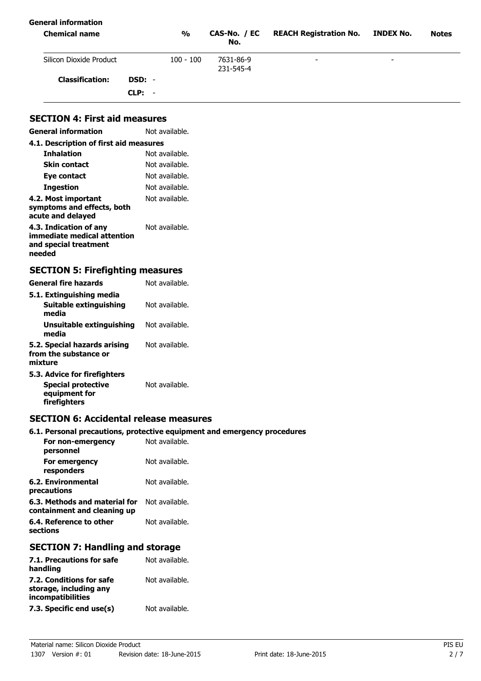| General information<br><b>Chemical name</b> |          | $\frac{0}{0}$ | CAS-No. / EC<br>No.    | <b>REACH Registration No.</b> | INDEX No.                | <b>Notes</b> |
|---------------------------------------------|----------|---------------|------------------------|-------------------------------|--------------------------|--------------|
| Silicon Dioxide Product                     |          | $100 - 100$   | 7631-86-9<br>231-545-4 | $\overline{\phantom{a}}$      | $\overline{\phantom{0}}$ |              |
| <b>Classification:</b>                      | DSD: -   |               |                        |                               |                          |              |
|                                             | $CLP: -$ |               |                        |                               |                          |              |

## **SECTION 4: First aid measures**

| <b>General information</b>                                                               | Not available. |
|------------------------------------------------------------------------------------------|----------------|
| 4.1. Description of first aid measures                                                   |                |
| <b>Inhalation</b>                                                                        | Not available. |
| <b>Skin contact</b>                                                                      | Not available. |
| Eye contact                                                                              | Not available. |
| Ingestion                                                                                | Not available. |
| 4.2. Most important<br>symptoms and effects, both<br>acute and delayed                   | Not available. |
| 4.3. Indication of any<br>immediate medical attention<br>and special treatment<br>needed | Not available. |

# **SECTION 5: Firefighting measures**

| <b>General fire hazards</b>                                                | Not available. |
|----------------------------------------------------------------------------|----------------|
| 5.1. Extinguishing media                                                   |                |
| <b>Suitable extinguishing</b><br>media                                     | Not available. |
| Unsuitable extinguishing<br>media                                          | Not available. |
| 5.2. Special hazards arising<br>from the substance or<br>mixture           | Not available. |
| 5.3. Advice for firefighters<br><b>Special protective</b><br>equipment for | Not available. |

**firefighters**

### **SECTION 6: Accidental release measures**

## **6.1. Personal precautions, protective equipment and emergency procedures**

| For non-emergency<br>personnel                               | Not available. |
|--------------------------------------------------------------|----------------|
| For emergency<br>responders                                  | Not available. |
| 6.2. Environmental<br>precautions                            | Not available. |
| 6.3. Methods and material for<br>containment and cleaning up | Not available. |
| 6.4. Reference to other<br>sections                          | Not available. |

## **SECTION 7: Handling and storage**

| 7.1. Precautions for safe<br>handling                                   | Not available. |
|-------------------------------------------------------------------------|----------------|
| 7.2. Conditions for safe<br>storage, including any<br>incompatibilities | Not available. |
| 7.3. Specific end use(s)                                                | Not available. |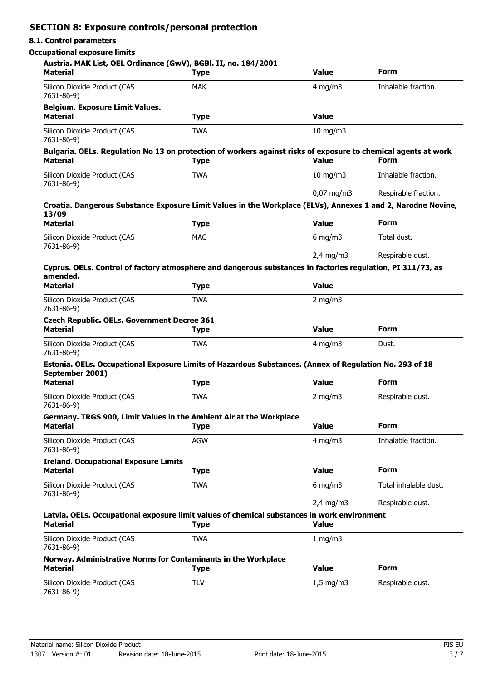## **SECTION 8: Exposure controls/personal protection**

## **8.1. Control parameters**

#### **Occupational exposure limits**

| Austria. MAK List, OEL Ordinance (GwV), BGBl. II, no. 184/2001<br><b>Material</b> | <b>Type</b>                                                                                                                   | <b>Value</b>       | <b>Form</b>           |
|-----------------------------------------------------------------------------------|-------------------------------------------------------------------------------------------------------------------------------|--------------------|-----------------------|
| Silicon Dioxide Product (CAS<br>7631-86-9)                                        | <b>MAK</b>                                                                                                                    | $4$ mg/m $3$       | Inhalable fraction.   |
| <b>Belgium. Exposure Limit Values.</b><br><b>Material</b>                         | <b>Type</b>                                                                                                                   | <b>Value</b>       |                       |
| Silicon Dioxide Product (CAS<br>7631-86-9)                                        | <b>TWA</b>                                                                                                                    | $10$ mg/m $3$      |                       |
| <b>Material</b>                                                                   | Bulgaria. OELs. Regulation No 13 on protection of workers against risks of exposure to chemical agents at work<br><b>Type</b> | <b>Value</b>       | <b>Form</b>           |
| Silicon Dioxide Product (CAS<br>7631-86-9)                                        | <b>TWA</b>                                                                                                                    | 10 mg/m $3$        | Inhalable fraction.   |
|                                                                                   | Croatia. Dangerous Substance Exposure Limit Values in the Workplace (ELVs), Annexes 1 and 2, Narodne Novine,                  | $0,07$ mg/m3       | Respirable fraction.  |
| 13/09<br><b>Material</b>                                                          | <b>Type</b>                                                                                                                   | <b>Value</b>       | <b>Form</b>           |
| Silicon Dioxide Product (CAS                                                      | <b>MAC</b>                                                                                                                    | $6$ mg/m $3$       | Total dust.           |
| 7631-86-9)                                                                        |                                                                                                                               | $2,4$ mg/m3        | Respirable dust.      |
| amended.                                                                          | Cyprus. OELs. Control of factory atmosphere and dangerous substances in factories regulation, PI 311/73, as                   |                    |                       |
| <b>Material</b>                                                                   | <b>Type</b>                                                                                                                   | <b>Value</b>       |                       |
| Silicon Dioxide Product (CAS<br>7631-86-9)                                        | <b>TWA</b>                                                                                                                    | $2$ mg/m $3$       |                       |
| <b>Czech Republic. OELs. Government Decree 361</b><br><b>Material</b>             | <b>Type</b>                                                                                                                   | <b>Value</b>       | <b>Form</b>           |
| Silicon Dioxide Product (CAS<br>7631-86-9)                                        | <b>TWA</b>                                                                                                                    | $4$ mg/m $3$       | Dust.                 |
| September 2001)                                                                   | Estonia. OELs. Occupational Exposure Limits of Hazardous Substances. (Annex of Regulation No. 293 of 18                       |                    |                       |
| <b>Material</b>                                                                   | <b>Type</b>                                                                                                                   | <b>Value</b>       | <b>Form</b>           |
| Silicon Dioxide Product (CAS<br>7631-86-9)                                        | <b>TWA</b>                                                                                                                    | $2$ mg/m $3$       | Respirable dust.      |
| <b>Material</b>                                                                   | Germany. TRGS 900, Limit Values in the Ambient Air at the Workplace<br><b>Type</b>                                            | <b>Value</b>       | <b>Form</b>           |
| Silicon Dioxide Product (CAS<br>7631-86-9)                                        | <b>AGW</b>                                                                                                                    | $4$ mg/m $3$       | Inhalable fraction.   |
| <b>Ireland. Occupational Exposure Limits</b><br><b>Material</b>                   | <b>Type</b>                                                                                                                   | <b>Value</b>       | <b>Form</b>           |
| Silicon Dioxide Product (CAS                                                      | <b>TWA</b>                                                                                                                    | $6$ mg/m $3$       | Total inhalable dust. |
| 7631-86-9)                                                                        |                                                                                                                               | $2,4$ mg/m3        | Respirable dust.      |
| <b>Material</b>                                                                   | Latvia. OELs. Occupational exposure limit values of chemical substances in work environment<br><b>Type</b>                    | <b>Value</b>       |                       |
| Silicon Dioxide Product (CAS<br>7631-86-9)                                        | <b>TWA</b>                                                                                                                    | 1 mg/m $3$         |                       |
| Norway. Administrative Norms for Contaminants in the Workplace<br><b>Material</b> | <b>Type</b>                                                                                                                   | <b>Value</b>       | <b>Form</b>           |
| Silicon Dioxide Product (CAS<br>7631-86-9)                                        | <b>TLV</b>                                                                                                                    | $1,5 \text{ mg/m}$ | Respirable dust.      |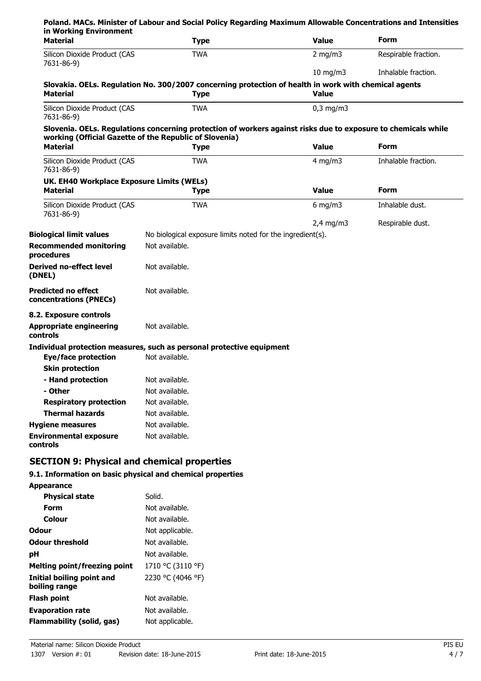| <b>Material</b>                                              | <b>Type</b>                                                                                                         | <b>Value</b>   | <b>Form</b>          |
|--------------------------------------------------------------|---------------------------------------------------------------------------------------------------------------------|----------------|----------------------|
| Silicon Dioxide Product (CAS<br>7631-86-9)                   | <b>TWA</b>                                                                                                          | 2 mg/m $3$     | Respirable fraction. |
|                                                              |                                                                                                                     | $10$ mg/m $3$  | Inhalable fraction.  |
| <b>Material</b>                                              | Slovakia. OELs. Regulation No. 300/2007 concerning protection of health in work with chemical agents<br><b>Type</b> | <b>Value</b>   |                      |
| Silicon Dioxide Product (CAS<br>7631-86-9)                   | <b>TWA</b>                                                                                                          | $0,3$ mg/m $3$ |                      |
|                                                              | Slovenia. OELs. Regulations concerning protection of workers against risks due to exposure to chemicals while       |                |                      |
| <b>Material</b>                                              | working (Official Gazette of the Republic of Slovenia)                                                              |                | <b>Form</b>          |
|                                                              | <b>Type</b>                                                                                                         | <b>Value</b>   |                      |
| Silicon Dioxide Product (CAS<br>7631-86-9)                   | <b>TWA</b>                                                                                                          | $4$ mg/m $3$   | Inhalable fraction.  |
| UK. EH40 Workplace Exposure Limits (WELs)<br><b>Material</b> | <b>Type</b>                                                                                                         | <b>Value</b>   | <b>Form</b>          |
| Silicon Dioxide Product (CAS<br>7631-86-9)                   | <b>TWA</b>                                                                                                          | 6 mg/m $3$     | Inhalable dust.      |
|                                                              |                                                                                                                     | $2,4$ mg/m3    | Respirable dust.     |
| <b>Biological limit values</b>                               | No biological exposure limits noted for the ingredient(s).                                                          |                |                      |
| <b>Recommended monitoring</b><br>procedures                  | Not available.                                                                                                      |                |                      |
| <b>Derived no-effect level</b><br>(DNEL)                     | Not available.                                                                                                      |                |                      |
| <b>Predicted no effect</b><br>concentrations (PNECs)         | Not available.                                                                                                      |                |                      |
| 8.2. Exposure controls                                       |                                                                                                                     |                |                      |
| <b>Appropriate engineering</b><br><b>controls</b>            | Not available.                                                                                                      |                |                      |
|                                                              | Individual protection measures, such as personal protective equipment                                               |                |                      |
| <b>Eye/face protection</b>                                   | Not available.                                                                                                      |                |                      |
| <b>Skin protection</b>                                       |                                                                                                                     |                |                      |
| - Hand protection                                            | Not available.                                                                                                      |                |                      |
| - Other                                                      | Not available.                                                                                                      |                |                      |
| <b>Respiratory protection</b>                                | Not available.                                                                                                      |                |                      |
| <b>Thermal hazards</b>                                       | Not available.                                                                                                      |                |                      |
| <b>Hygiene measures</b>                                      | Not available.                                                                                                      |                |                      |
| <b>Environmental exposure</b><br>controls                    | Not available.                                                                                                      |                |                      |

## **9.1. Information on basic physical and chemical properties**

| <b>Appearance</b>                          |                   |
|--------------------------------------------|-------------------|
| <b>Physical state</b>                      | Solid.            |
| Form                                       | Not available.    |
| Colour                                     | Not available.    |
| Odour                                      | Not applicable.   |
| <b>Odour threshold</b>                     | Not available.    |
| рH                                         | Not available.    |
| <b>Melting point/freezing point</b>        | 1710 °C (3110 °F) |
| Initial boiling point and<br>boiling range | 2230 °C (4046 °F) |
| <b>Flash point</b>                         | Not available.    |
| <b>Evaporation rate</b>                    | Not available.    |
| Flammability (solid, gas)                  | Not applicable.   |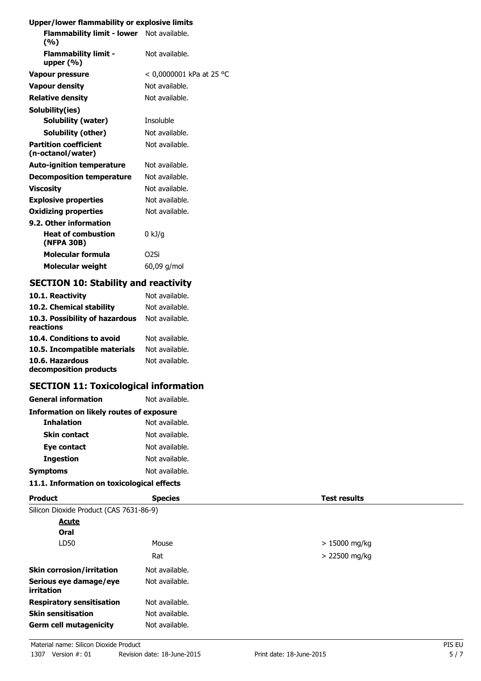## **Upper/lower flammability or explosive limits**

| Flammability limit - lower Not available.<br>(%)  |                          |
|---------------------------------------------------|--------------------------|
| <b>Flammability limit -</b><br>upper $(% )$       | Not available.           |
| <b>Vapour pressure</b>                            | < 0,0000001 kPa at 25 °C |
| <b>Vapour density</b>                             | Not available.           |
| <b>Relative density</b>                           | Not available.           |
| Solubility(ies)                                   |                          |
| Solubility (water)                                | Insoluble                |
| Solubility (other)                                | Not available.           |
| <b>Partition coefficient</b><br>(n-octanol/water) | Not available.           |
| <b>Auto-ignition temperature</b>                  | Not available.           |
| <b>Decomposition temperature</b>                  | Not available.           |
| <b>Viscosity</b>                                  | Not available.           |
| <b>Explosive properties</b>                       | Not available.           |
| <b>Oxidizing properties</b>                       | Not available.           |
| 9.2. Other information                            |                          |
| <b>Heat of combustion</b><br>(NFPA 30B)           | $0 \text{ kJ/g}$         |
| Molecular formula                                 | O <sub>2</sub> Si        |
| <b>Molecular weight</b>                           | 60,09 g/mol              |
|                                                   |                          |

## **SECTION 10: Stability and reactivity**

| 10.1. Reactivity                            | Not available. |
|---------------------------------------------|----------------|
| 10.2. Chemical stability                    | Not available. |
| 10.3. Possibility of hazardous<br>reactions | Not available. |
| 10.4. Conditions to avoid                   | Not available. |
| 10.5. Incompatible materials                | Not available. |
| 10.6. Hazardous<br>decomposition products   | Not available. |

## **SECTION 11: Toxicological information**

| Not available.                                  |  |  |  |  |
|-------------------------------------------------|--|--|--|--|
| <b>Information on likely routes of exposure</b> |  |  |  |  |
| Not available.                                  |  |  |  |  |
| Not available.                                  |  |  |  |  |
| Not available.                                  |  |  |  |  |
| Not available.                                  |  |  |  |  |
| Not available.                                  |  |  |  |  |
|                                                 |  |  |  |  |

## **11.1. Information on toxicological effects**

| <b>Product</b>                          | <b>Species</b> | <b>Test results</b> |
|-----------------------------------------|----------------|---------------------|
| Silicon Dioxide Product (CAS 7631-86-9) |                |                     |
| <b>Acute</b>                            |                |                     |
| Oral                                    |                |                     |
| LD50                                    | Mouse          | $>15000$ mg/kg      |
|                                         | Rat            | $> 22500$ mg/kg     |
| <b>Skin corrosion/irritation</b>        | Not available. |                     |
| Serious eye damage/eye<br>irritation    | Not available. |                     |
| <b>Respiratory sensitisation</b>        | Not available. |                     |
| <b>Skin sensitisation</b>               | Not available. |                     |
| <b>Germ cell mutagenicity</b>           | Not available. |                     |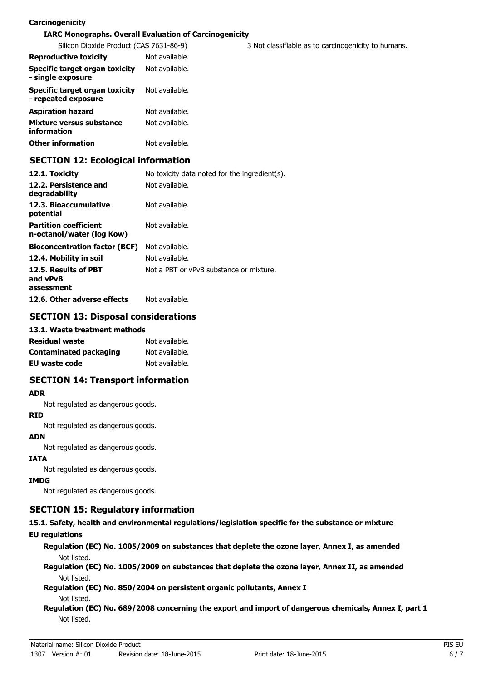#### **Carcinogenicity**

#### **IARC Monographs. Overall Evaluation of Carcinogenicity**

| Silicon Dioxide Product (CAS 7631-86-9)               |                | 3 Not classifiable as to carcinogenicity to humans. |
|-------------------------------------------------------|----------------|-----------------------------------------------------|
| <b>Reproductive toxicity</b>                          | Not available. |                                                     |
| Specific target organ toxicity<br>- single exposure   | Not available. |                                                     |
| Specific target organ toxicity<br>- repeated exposure | Not available. |                                                     |
| <b>Aspiration hazard</b>                              | Not available. |                                                     |
| Mixture versus substance<br><i>information</i>        | Not available. |                                                     |
| <b>Other information</b>                              | Not available. |                                                     |

## **SECTION 12: Ecological information**

| 12.1. Toxicity                                            | No toxicity data noted for the ingredient(s). |
|-----------------------------------------------------------|-----------------------------------------------|
| 12.2. Persistence and<br>degradability                    | Not available.                                |
| 12.3. Bioaccumulative<br>potential                        | Not available.                                |
| <b>Partition coefficient</b><br>n-octanol/water (log Kow) | Not available.                                |
| <b>Bioconcentration factor (BCF)</b>                      | Not available.                                |
| 12.4. Mobility in soil                                    | Not available.                                |
| 12.5. Results of PBT<br>and vPvB<br>assessment            | Not a PBT or vPvB substance or mixture.       |
| 12.6. Other adverse effects                               | Not available.                                |

## **SECTION 13: Disposal considerations**

#### **13.1. Waste treatment methods**

| <b>Residual waste</b>  | Not available. |
|------------------------|----------------|
| Contaminated packaging | Not available. |
| EU waste code          | Not available. |

### **SECTION 14: Transport information**

#### **ADR**

Not regulated as dangerous goods.

#### **RID**

Not regulated as dangerous goods.

#### **ADN**

Not regulated as dangerous goods.

#### **IATA**

Not regulated as dangerous goods.

#### **IMDG**

Not regulated as dangerous goods.

### **SECTION 15: Regulatory information**

# **15.1. Safety, health and environmental regulations/legislation specific for the substance or mixture**

**EU regulations**

**Regulation (EC) No. 1005/2009 on substances that deplete the ozone layer, Annex I, as amended** Not listed.

**Regulation (EC) No. 1005/2009 on substances that deplete the ozone layer, Annex II, as amended** Not listed.

**Regulation (EC) No. 850/2004 on persistent organic pollutants, Annex I** Not listed.

**Regulation (EC) No. 689/2008 concerning the export and import of dangerous chemicals, Annex I, part 1** Not listed.